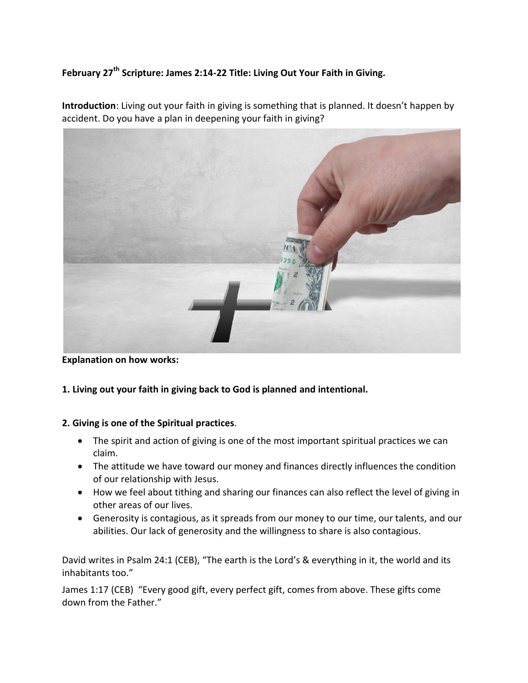## **February 27th Scripture: James 2:14-22 Title: Living Out Your Faith in Giving.**

**Introduction**: Living out your faith in giving is something that is planned. It doesn't happen by accident. Do you have a plan in deepening your faith in giving?

**Explanation on how works:** 

**1. Living out your faith in giving back to God is planned and intentional.**

## **2. Giving is one of the Spiritual practices**.

- The spirit and action of giving is one of the most important spiritual practices we can claim.
- The attitude we have toward our money and finances directly influences the condition of our relationship with Jesus.
- How we feel about tithing and sharing our finances can also reflect the level of giving in other areas of our lives.
- Generosity is contagious, as it spreads from our money to our time, our talents, and our abilities. Our lack of generosity and the willingness to share is also contagious.

David writes in Psalm 24:1 (CEB), "The earth is the Lord's & everything in it, the world and its inhabitants too."

James 1:17 (CEB) "Every good gift, every perfect gift, comes from above. These gifts come down from the Father."